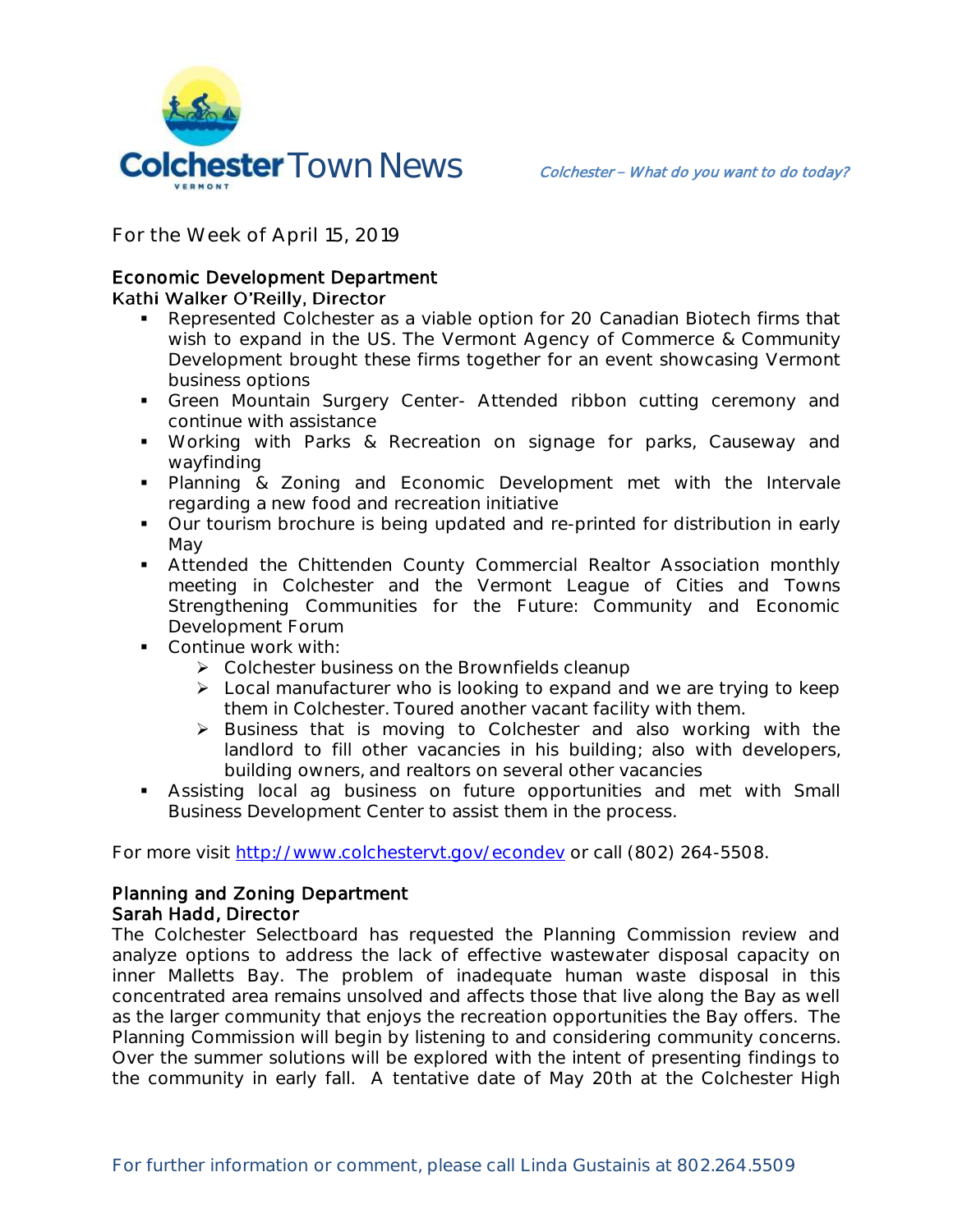

**For the Week of April 15, 2019**

## Economic Development Department Kathi Walker O'Reilly, Director

- Represented Colchester as a viable option for 20 Canadian Biotech firms that wish to expand in the US. The Vermont Agency of Commerce & Community Development brought these firms together for an event showcasing Vermont business options
- Green Mountain Surgery Center- Attended ribbon cutting ceremony and continue with assistance
- Working with Parks & Recreation on signage for parks, Causeway and wayfinding
- Planning & Zoning and Economic Development met with the Intervale regarding a new food and recreation initiative
- Our tourism brochure is being updated and re-printed for distribution in early May
- Attended the Chittenden County Commercial Realtor Association monthly meeting in Colchester and the Vermont League of Cities and Towns Strengthening Communities for the Future: Community and Economic Development Forum
- **Continue work with:** 
	- Colchester business on the Brownfields cleanup
	- $\triangleright$  Local manufacturer who is looking to expand and we are trying to keep them in Colchester. Toured another vacant facility with them.
	- $\triangleright$  Business that is moving to Colchester and also working with the landlord to fill other vacancies in his building; also with developers, building owners, and realtors on several other vacancies
- Assisting local ag business on future opportunities and met with Small Business Development Center to assist them in the process.

For more visit [http://www.colchestervt.gov/e](http://www.colchestervt.gov/)condev or call (802) 264-5508.

## Planning and Zoning Department Sarah Hadd, Director

The Colchester Selectboard has requested the Planning Commission review and analyze options to address the lack of effective wastewater disposal capacity on inner Malletts Bay. The problem of inadequate human waste disposal in this concentrated area remains unsolved and affects those that live along the Bay as well as the larger community that enjoys the recreation opportunities the Bay offers. The Planning Commission will begin by listening to and considering community concerns. Over the summer solutions will be explored with the intent of presenting findings to the community in early fall. A tentative date of May 20th at the Colchester High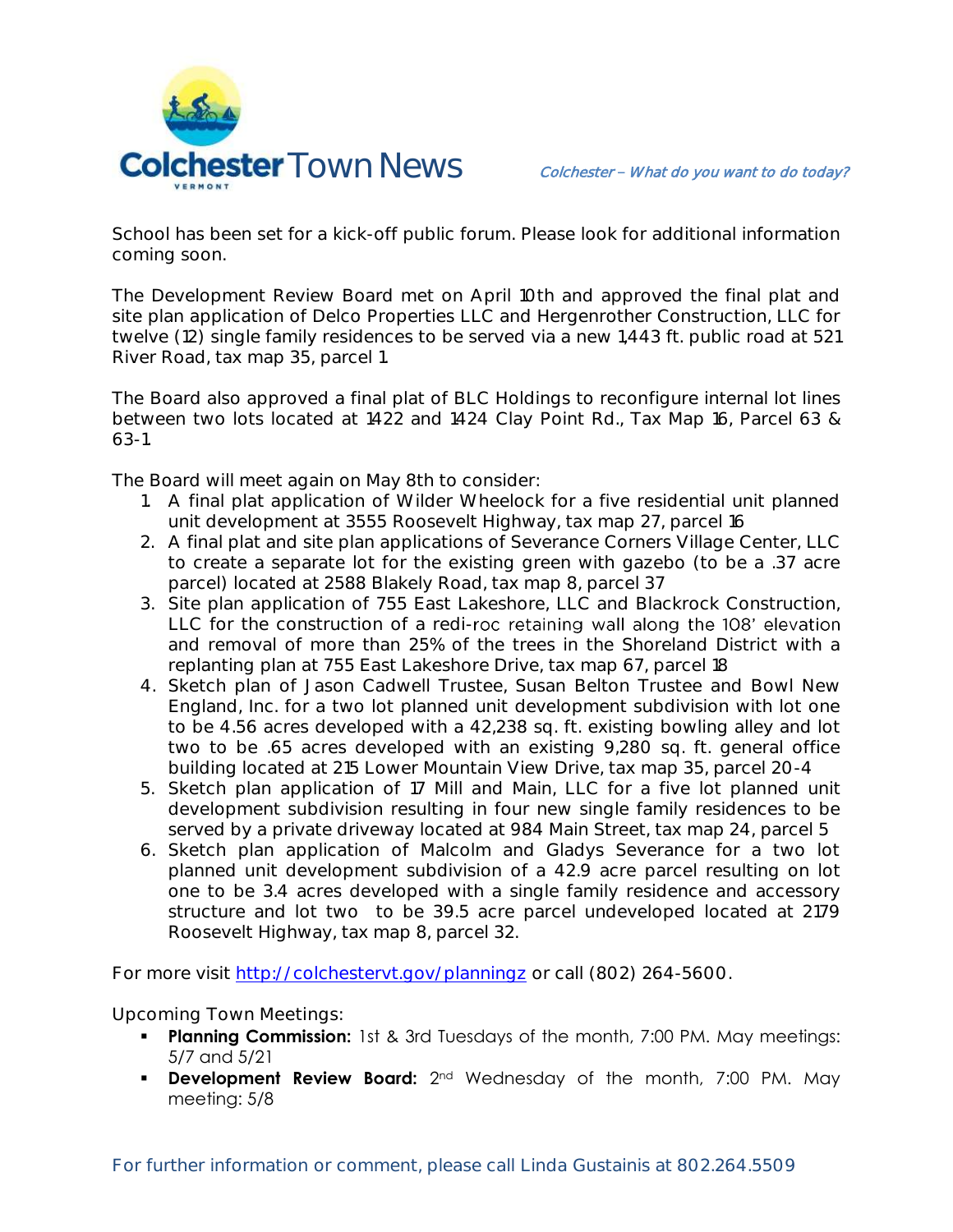

School has been set for a kick-off public forum. Please look for additional information coming soon.

The Development Review Board met on April 10th and approved the final plat and site plan application of Delco Properties LLC and Hergenrother Construction, LLC for twelve (12) single family residences to be served via a new 1,443 ft. public road at 521 River Road, tax map 35, parcel 1.

The Board also approved a final plat of BLC Holdings to reconfigure internal lot lines between two lots located at 1422 and 1424 Clay Point Rd., Tax Map 16, Parcel 63 & 63-1.

The Board will meet again on May 8th to consider:

- 1. A final plat application of Wilder Wheelock for a five residential unit planned unit development at 3555 Roosevelt Highway, tax map 27, parcel 16
- 2. A final plat and site plan applications of Severance Corners Village Center, LLC to create a separate lot for the existing green with gazebo (to be a .37 acre parcel) located at 2588 Blakely Road, tax map 8, parcel 37
- 3. Site plan application of 755 East Lakeshore, LLC and Blackrock Construction, LLC for the construction of a redi-roc retaining wall along the 108' elevation and removal of more than 25% of the trees in the Shoreland District with a replanting plan at 755 East Lakeshore Drive, tax map 67, parcel 18
- 4. Sketch plan of Jason Cadwell Trustee, Susan Belton Trustee and Bowl New England, Inc. for a two lot planned unit development subdivision with lot one to be 4.56 acres developed with a 42,238 sq. ft. existing bowling alley and lot two to be .65 acres developed with an existing 9,280 sq. ft. general office building located at 215 Lower Mountain View Drive, tax map 35, parcel 20-4
- 5. Sketch plan application of 17 Mill and Main, LLC for a five lot planned unit development subdivision resulting in four new single family residences to be served by a private driveway located at 984 Main Street, tax map 24, parcel 5
- 6. Sketch plan application of Malcolm and Gladys Severance for a two lot planned unit development subdivision of a 42.9 acre parcel resulting on lot one to be 3.4 acres developed with a single family residence and accessory structure and lot two to be 39.5 acre parcel undeveloped located at 2179 Roosevelt Highway, tax map 8, parcel 32.

For more visit<http://colchestervt.gov/planningz> or call (802) 264-5600.

**Upcoming Town Meetings:** 

- **Planning Commission:** 1st & 3rd Tuesdays of the month, 7:00 PM. May meetings: 5/7 and 5/21
- **Development Review Board:** 2<sup>nd</sup> Wednesday of the month, 7:00 PM. May meeting: 5/8